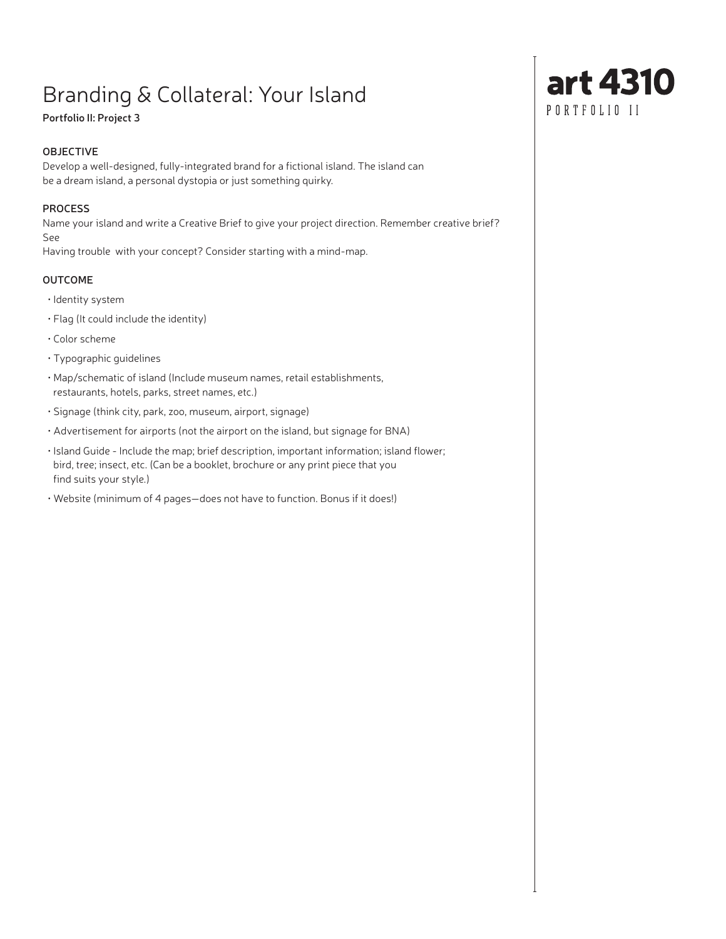# Branding & Collateral: Your Island

## **Portfolio II: Project 3**

## **OBJECTIVE**

Develop a well-designed, fully-integrated brand for a fictional island. The island can be a dream island, a personal dystopia or just something quirky.

#### **PROCESS**

Name your island and write a Creative Brief to give your project direction. Remember creative brief? See

Having trouble with your concept? Consider starting with a mind-map.

## **OUTCOME**

- Identity system
- Flag (It could include the identity)
- Color scheme
- Typographic guidelines
- Map/schematic of island (Include museum names, retail establishments, restaurants, hotels, parks, street names, etc.)
- Signage (think city, park, zoo, museum, airport, signage)
- Advertisement for airports (not the airport on the island, but signage for BNA)
- Island Guide Include the map; brief description, important information; island flower; bird, tree; insect, etc. (Can be a booklet, brochure or any print piece that you find suits your style.)
- Website (minimum of 4 pages—does not have to function. Bonus if it does!)